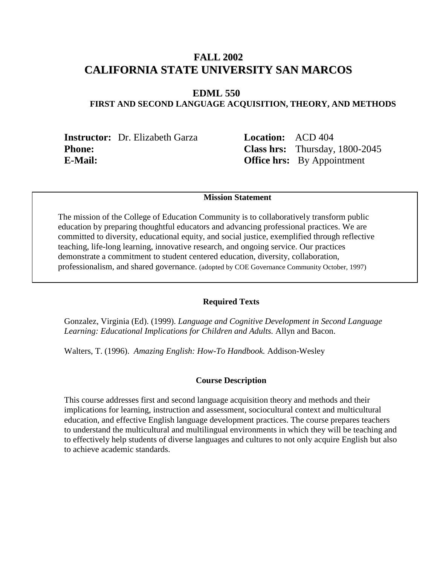# **FALL 2002 CALIFORNIA STATE UNIVERSITY SAN MARCOS**

## **EDML 550**

# **FIRST AND SECOND LANGUAGE ACQUISITION, THEORY, AND METHODS**

**Instructor:** Dr. Elizabeth Garza **Location:** ACD 404 **E-Mail: Office hrs:** By Appointment

**Phone: Class hrs:** Thursday, 1800-2045

### **Mission Statement**

The mission of the College of Education Community is to collaboratively transform public education by preparing thoughtful educators and advancing professional practices. We are committed to diversity, educational equity, and social justice, exemplified through reflective teaching, life-long learning, innovative research, and ongoing service. Our practices demonstrate a commitment to student centered education, diversity, collaboration, professionalism, and shared governance. (adopted by COE Governance Community October, 1997)

#### **Required Texts**

Gonzalez, Virginia (Ed). (1999). *Language and Cognitive Development in Second Language Learning: Educational Implications for Children and Adults.* Allyn and Bacon.

Walters, T. (1996). *Amazing English: How-To Handbook.* Addison-Wesley

#### **Course Description**

This course addresses first and second language acquisition theory and methods and their implications for learning, instruction and assessment, sociocultural context and multicultural education, and effective English language development practices. The course prepares teachers to understand the multicultural and multilingual environments in which they will be teaching and to effectively help students of diverse languages and cultures to not only acquire English but also to achieve academic standards.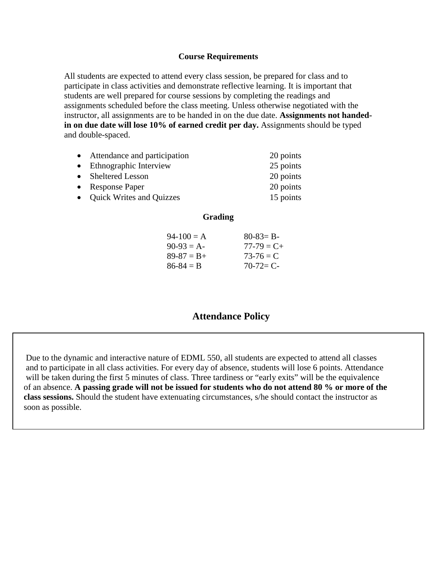## **Course Requirements**

All students are expected to attend every class session, be prepared for class and to participate in class activities and demonstrate reflective learning. It is important that students are well prepared for course sessions by completing the readings and assignments scheduled before the class meeting. Unless otherwise negotiated with the instructor, all assignments are to be handed in on the due date. **Assignments not handedin on due date will lose 10% of earned credit per day.** Assignments should be typed and double-spaced.

| • Attendance and participation | 20 points |
|--------------------------------|-----------|
| • Ethnographic Interview       | 25 points |
| • Sheltered Lesson             | 20 points |
| • Response Paper               | 20 points |
| • Quick Writes and Quizzes     | 15 points |

### **Grading**

| $80 - 83 = B -$ |
|-----------------|
| $77 - 79 = C +$ |
| $73-76 = C$     |
| $70-72=$ C-     |
|                 |

# **Attendance Policy**

 Due to the dynamic and interactive nature of EDML 550, all students are expected to attend all classes and to participate in all class activities. For every day of absence, students will lose 6 points. Attendance will be taken during the first 5 minutes of class. Three tardiness or "early exits" will be the equivalence of an absence. **A passing grade will not be issued for students who do not attend 80 % or more of the class sessions.** Should the student have extenuating circumstances, s/he should contact the instructor as soon as possible.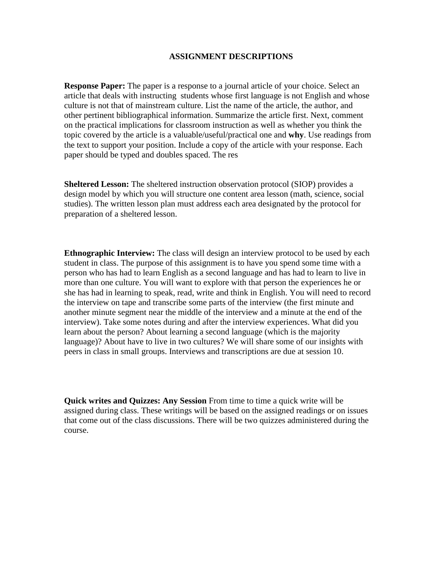#### **ASSIGNMENT DESCRIPTIONS**

**Response Paper:** The paper is a response to a journal article of your choice. Select an article that deals with instructing students whose first language is not English and whose culture is not that of mainstream culture. List the name of the article, the author, and other pertinent bibliographical information. Summarize the article first. Next, comment on the practical implications for classroom instruction as well as whether you think the topic covered by the article is a valuable/useful/practical one and **why**. Use readings from the text to support your position. Include a copy of the article with your response. Each paper should be typed and doubles spaced. The res

**Sheltered Lesson:** The sheltered instruction observation protocol (SIOP) provides a design model by which you will structure one content area lesson (math, science, social studies). The written lesson plan must address each area designated by the protocol for preparation of a sheltered lesson.

**Ethnographic Interview:** The class will design an interview protocol to be used by each student in class. The purpose of this assignment is to have you spend some time with a person who has had to learn English as a second language and has had to learn to live in more than one culture. You will want to explore with that person the experiences he or she has had in learning to speak, read, write and think in English. You will need to record the interview on tape and transcribe some parts of the interview (the first minute and another minute segment near the middle of the interview and a minute at the end of the interview). Take some notes during and after the interview experiences. What did you learn about the person? About learning a second language (which is the majority language)? About have to live in two cultures? We will share some of our insights with peers in class in small groups. Interviews and transcriptions are due at session 10.

**Quick writes and Quizzes: Any Session** From time to time a quick write will be assigned during class. These writings will be based on the assigned readings or on issues that come out of the class discussions. There will be two quizzes administered during the course.